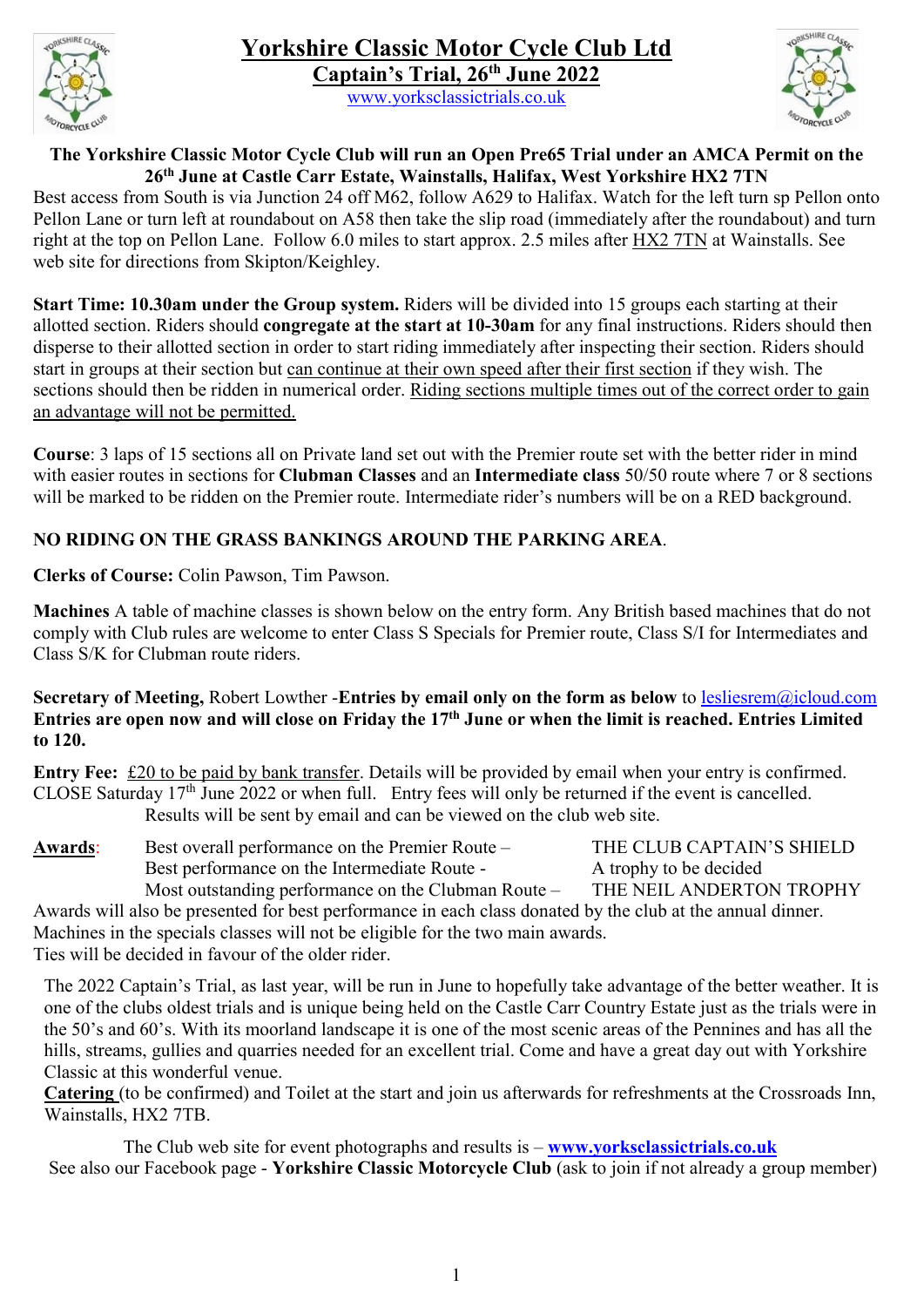

www.yorksclassictrials.co.uk



### The Yorkshire Classic Motor Cycle Club will run an Open Pre65 Trial under an AMCA Permit on the 26th June at Castle Carr Estate, Wainstalls, Halifax, West Yorkshire HX2 7TN

Best access from South is via Junction 24 off M62, follow A629 to Halifax. Watch for the left turn sp Pellon onto Pellon Lane or turn left at roundabout on A58 then take the slip road (immediately after the roundabout) and turn right at the top on Pellon Lane. Follow 6.0 miles to start approx. 2.5 miles after HX2 7TN at Wainstalls. See web site for directions from Skipton/Keighley.

Start Time: 10.30am under the Group system. Riders will be divided into 15 groups each starting at their allotted section. Riders should congregate at the start at 10-30am for any final instructions. Riders should then disperse to their allotted section in order to start riding immediately after inspecting their section. Riders should start in groups at their section but can continue at their own speed after their first section if they wish. The sections should then be ridden in numerical order. Riding sections multiple times out of the correct order to gain an advantage will not be permitted.

Course: 3 laps of 15 sections all on Private land set out with the Premier route set with the better rider in mind with easier routes in sections for Clubman Classes and an Intermediate class 50/50 route where 7 or 8 sections will be marked to be ridden on the Premier route. Intermediate rider's numbers will be on a RED background.

## NO RIDING ON THE GRASS BANKINGS AROUND THE PARKING AREA.

Clerks of Course: Colin Pawson, Tim Pawson.

Machines A table of machine classes is shown below on the entry form. Any British based machines that do not comply with Club rules are welcome to enter Class S Specials for Premier route, Class S/I for Intermediates and Class S/K for Clubman route riders.

### Secretary of Meeting, Robert Lowther -Entries by email only on the form as below to lesliesrem@icloud.com Entries are open now and will close on Friday the 17th June or when the limit is reached. Entries Limited to 120.

Entry Fee: £20 to be paid by bank transfer. Details will be provided by email when your entry is confirmed. CLOSE Saturday 17<sup>th</sup> June 2022 or when full. Entry fees will only be returned if the event is cancelled. Results will be sent by email and can be viewed on the club web site.

Awards: Best overall performance on the Premier Route – THE CLUB CAPTAIN'S SHIELD Best performance on the Intermediate Route - A trophy to be decided Most outstanding performance on the Clubman Route – THE NEIL ANDERTON TROPHY Awards will also be presented for best performance in each class donated by the club at the annual dinner.

Machines in the specials classes will not be eligible for the two main awards. Ties will be decided in favour of the older rider.

The 2022 Captain's Trial, as last year, will be run in June to hopefully take advantage of the better weather. It is one of the clubs oldest trials and is unique being held on the Castle Carr Country Estate just as the trials were in the 50's and 60's. With its moorland landscape it is one of the most scenic areas of the Pennines and has all the hills, streams, gullies and quarries needed for an excellent trial. Come and have a great day out with Yorkshire Classic at this wonderful venue.

Catering (to be confirmed) and Toilet at the start and join us afterwards for refreshments at the Crossroads Inn, Wainstalls, HX2 7TB.

The Club web site for event photographs and results is  $-\frac{www.vorksclassification.s.}$ See also our Facebook page - Yorkshire Classic Motorcycle Club (ask to join if not already a group member)